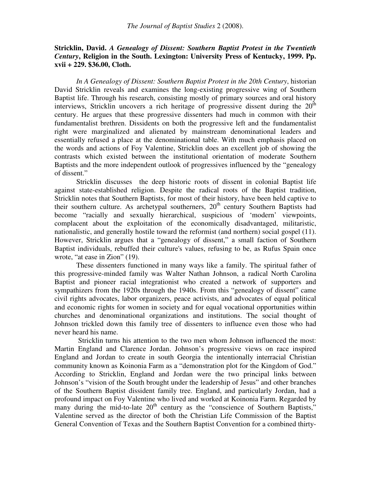## **Stricklin, David.** *A Genealogy of Dissent: Southern Baptist Protest in the Twentieth Century***, Religion in the South. Lexington: University Press of Kentucky, 1999. Pp. xvii + 229. \$36.00, Cloth.**

*In A Genealogy of Dissent: Southern Baptist Protest in the 20th Century*, historian David Stricklin reveals and examines the long-existing progressive wing of Southern Baptist life. Through his research, consisting mostly of primary sources and oral history interviews, Stricklin uncovers a rich heritage of progressive dissent during the  $20<sup>th</sup>$ century. He argues that these progressive dissenters had much in common with their fundamentalist brethren. Dissidents on both the progressive left and the fundamentalist right were marginalized and alienated by mainstream denominational leaders and essentially refused a place at the denominational table. With much emphasis placed on the words and actions of Foy Valentine, Stricklin does an excellent job of showing the contrasts which existed between the institutional orientation of moderate Southern Baptists and the more independent outlook of progressives influenced by the "genealogy of dissent."

Stricklin discusses the deep historic roots of dissent in colonial Baptist life against state-established religion. Despite the radical roots of the Baptist tradition, Stricklin notes that Southern Baptists, for most of their history, have been held captive to their southern culture. As archetypal southerners,  $20<sup>th</sup>$  century Southern Baptists had become "racially and sexually hierarchical, suspicious of 'modern' viewpoints, complacent about the exploitation of the economically disadvantaged, militaristic, nationalistic, and generally hostile toward the reformist (and northern) social gospel (11). However, Stricklin argues that a "genealogy of dissent," a small faction of Southern Baptist individuals, rebuffed their culture's values, refusing to be, as Rufus Spain once wrote, "at ease in Zion" (19).

These dissenters functioned in many ways like a family. The spiritual father of this progressive-minded family was Walter Nathan Johnson, a radical North Carolina Baptist and pioneer racial integrationist who created a network of supporters and sympathizers from the 1920s through the 1940s. From this "genealogy of dissent" came civil rights advocates, labor organizers, peace activists, and advocates of equal political and economic rights for women in society and for equal vocational opportunities within churches and denominational organizations and institutions. The social thought of Johnson trickled down this family tree of dissenters to influence even those who had never heard his name.

 Stricklin turns his attention to the two men whom Johnson influenced the most: Martin England and Clarence Jordan. Johnson's progressive views on race inspired England and Jordan to create in south Georgia the intentionally interracial Christian community known as Koinonia Farm as a "demonstration plot for the Kingdom of God." According to Stricklin, England and Jordan were the two principal links between Johnson's "vision of the South brought under the leadership of Jesus" and other branches of the Southern Baptist dissident family tree. England, and particularly Jordan, had a profound impact on Foy Valentine who lived and worked at Koinonia Farm. Regarded by many during the mid-to-late  $20<sup>th</sup>$  century as the "conscience of Southern Baptists," Valentine served as the director of both the Christian Life Commission of the Baptist General Convention of Texas and the Southern Baptist Convention for a combined thirty-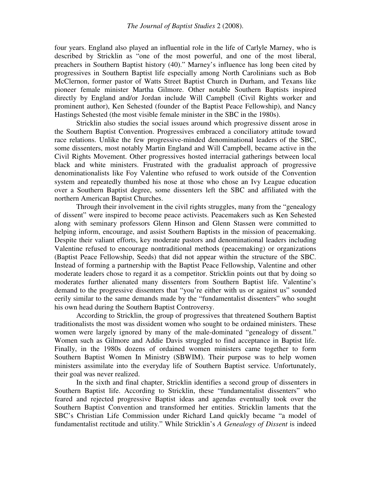four years. England also played an influential role in the life of Carlyle Marney, who is described by Stricklin as "one of the most powerful, and one of the most liberal, preachers in Southern Baptist history (40)." Marney's influence has long been cited by progressives in Southern Baptist life especially among North Carolinians such as Bob McClernon, former pastor of Watts Street Baptist Church in Durham, and Texans like pioneer female minister Martha Gilmore. Other notable Southern Baptists inspired directly by England and/or Jordan include Will Campbell (Civil Rights worker and prominent author), Ken Sehested (founder of the Baptist Peace Fellowship), and Nancy Hastings Sehested (the most visible female minister in the SBC in the 1980s).

 Stricklin also studies the social issues around which progressive dissent arose in the Southern Baptist Convention. Progressives embraced a conciliatory attitude toward race relations. Unlike the few progressive-minded denominational leaders of the SBC, some dissenters, most notably Martin England and Will Campbell, became active in the Civil Rights Movement. Other progressives hosted interracial gatherings between local black and white ministers. Frustrated with the gradualist approach of progressive denominationalists like Foy Valentine who refused to work outside of the Convention system and repeatedly thumbed his nose at those who chose an Ivy League education over a Southern Baptist degree, some dissenters left the SBC and affiliated with the northern American Baptist Churches.

Through their involvement in the civil rights struggles, many from the "genealogy of dissent" were inspired to become peace activists. Peacemakers such as Ken Sehested along with seminary professors Glenn Hinson and Glenn Stassen were committed to helping inform, encourage, and assist Southern Baptists in the mission of peacemaking. Despite their valiant efforts, key moderate pastors and denominational leaders including Valentine refused to encourage nontraditional methods (peacemaking) or organizations (Baptist Peace Fellowship, Seeds) that did not appear within the structure of the SBC. Instead of forming a partnership with the Baptist Peace Fellowship, Valentine and other moderate leaders chose to regard it as a competitor. Stricklin points out that by doing so moderates further alienated many dissenters from Southern Baptist life. Valentine's demand to the progressive dissenters that "you're either with us or against us" sounded eerily similar to the same demands made by the "fundamentalist dissenters" who sought his own head during the Southern Baptist Controversy.

According to Stricklin, the group of progressives that threatened Southern Baptist traditionalists the most was dissident women who sought to be ordained ministers. These women were largely ignored by many of the male-dominated "genealogy of dissent." Women such as Gilmore and Addie Davis struggled to find acceptance in Baptist life. Finally, in the 1980s dozens of ordained women ministers came together to form Southern Baptist Women In Ministry (SBWIM). Their purpose was to help women ministers assimilate into the everyday life of Southern Baptist service. Unfortunately, their goal was never realized.

In the sixth and final chapter, Stricklin identifies a second group of dissenters in Southern Baptist life. According to Stricklin, these "fundamentalist dissenters" who feared and rejected progressive Baptist ideas and agendas eventually took over the Southern Baptist Convention and transformed her entities. Stricklin laments that the SBC's Christian Life Commission under Richard Land quickly became "a model of fundamentalist rectitude and utility." While Stricklin's *A Genealogy of Dissent* is indeed